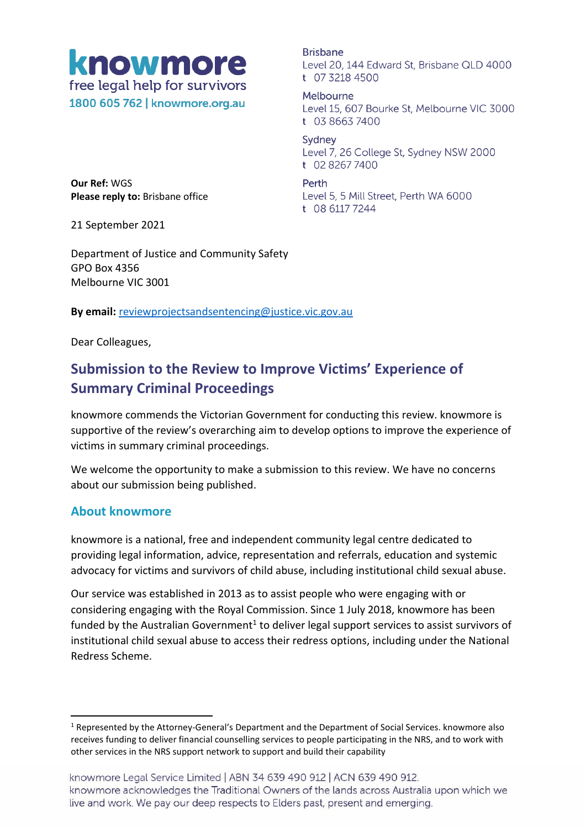

1800 605 762 | knowmore.org.au

**Brisbane** Level 20, 144 Edward St, Brisbane QLD 4000 t 07 3218 4500

Melbourne Level 15, 607 Bourke St, Melbourne VIC 3000 t 03 8663 7400

Sydney Level 7, 26 College St, Sydney NSW 2000 t 02 8267 7400

Perth Level 5, 5 Mill Street, Perth WA 6000 t 08 6117 7244

**Our Ref:** WGS **Please reply to:** Brisbane office

21 September 2021

Department of Justice and Community Safety GPO Box 4356 Melbourne VIC 3001

**By email:** [reviewprojectsandsentencing@justice.vic.gov.au](mailto:reviewprojectsandsentencing@justice.vic.gov.au)

Dear Colleagues,

## **Submission to the Review to Improve Victims' Experience of Summary Criminal Proceedings**

knowmore commends the Victorian Government for conducting this review. knowmore is supportive of the review's overarching aim to develop options to improve the experience of victims in summary criminal proceedings.

We welcome the opportunity to make a submission to this review. We have no concerns about our submission being published.

#### **About knowmore**

knowmore is a national, free and independent community legal centre dedicated to providing legal information, advice, representation and referrals, education and systemic advocacy for victims and survivors of child abuse, including institutional child sexual abuse.

Our service was established in 2013 as to assist people who were engaging with or considering engaging with the Royal Commission. Since 1 July 2018, knowmore has been funded by the Australian Government<sup>1</sup> to deliver legal support services to assist survivors of institutional child sexual abuse to access their redress options, including under the National Redress Scheme.

<sup>1</sup> Represented by the Attorney-General's Department and the Department of Social Services. knowmore also receives funding to deliver financial counselling services to people participating in the NRS, and to work with other services in the NRS support network to support and build their capability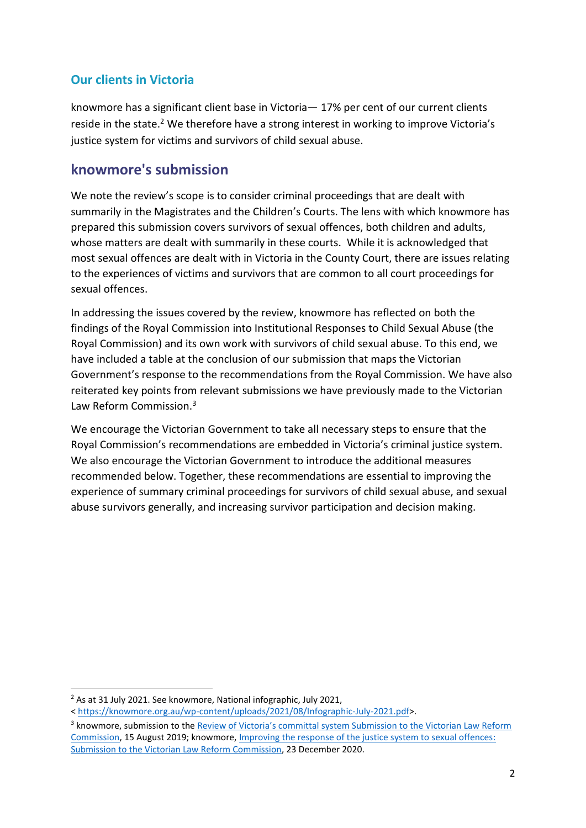## **Our clients in Victoria**

knowmore has a significant client base in Victoria— 17% per cent of our current clients reside in the state.<sup>2</sup> We therefore have a strong interest in working to improve Victoria's justice system for victims and survivors of child sexual abuse.

## **knowmore's submission**

We note the review's scope is to consider criminal proceedings that are dealt with summarily in the Magistrates and the Children's Courts. The lens with which knowmore has prepared this submission covers survivors of sexual offences, both children and adults, whose matters are dealt with summarily in these courts. While it is acknowledged that most sexual offences are dealt with in Victoria in the County Court, there are issues relating to the experiences of victims and survivors that are common to all court proceedings for sexual offences.

In addressing the issues covered by the review, knowmore has reflected on both the findings of the Royal Commission into Institutional Responses to Child Sexual Abuse (the Royal Commission) and its own work with survivors of child sexual abuse. To this end, we have included a table at the conclusion of our submission that maps the Victorian Government's response to the recommendations from the Royal Commission. We have also reiterated key points from relevant submissions we have previously made to the Victorian Law Reform Commission.<sup>3</sup>

We encourage the Victorian Government to take all necessary steps to ensure that the Royal Commission's recommendations are embedded in Victoria's criminal justice system. We also encourage the Victorian Government to introduce the additional measures recommended below. Together, these recommendations are essential to improving the experience of summary criminal proceedings for survivors of child sexual abuse, and sexual abuse survivors generally, and increasing survivor participation and decision making.

<sup>&</sup>lt;sup>2</sup> As at 31 July 2021. See knowmore, National infographic, July 2021,

<sup>&</sup>lt; [https://knowmore.org.au/wp-content/uploads/2021/08/Infographic-July-2021.pdf>](https://knowmore.org.au/wp-content/uploads/2021/08/Infographic-July-2021.pdf).

<sup>&</sup>lt;sup>3</sup> knowmore, submission to the **Review of Victoria's committal system Submission to the Victorian Law Reform** [Commission,](https://knowmore.org.au/wp-content/uploads/2020/11/submission-review-of-the-committal-system-vic.pdf) 15 August 2019; knowmore, [Improving the response of the justice system to sexual offences:](https://knowmore.org.au/wp-content/uploads/2021/04/submission-improving-the-response-of-the-justice-system-to-sexual-offenc....pdf) [Submission to the Victorian Law Reform Commission,](https://knowmore.org.au/wp-content/uploads/2021/04/submission-improving-the-response-of-the-justice-system-to-sexual-offenc....pdf) 23 December 2020.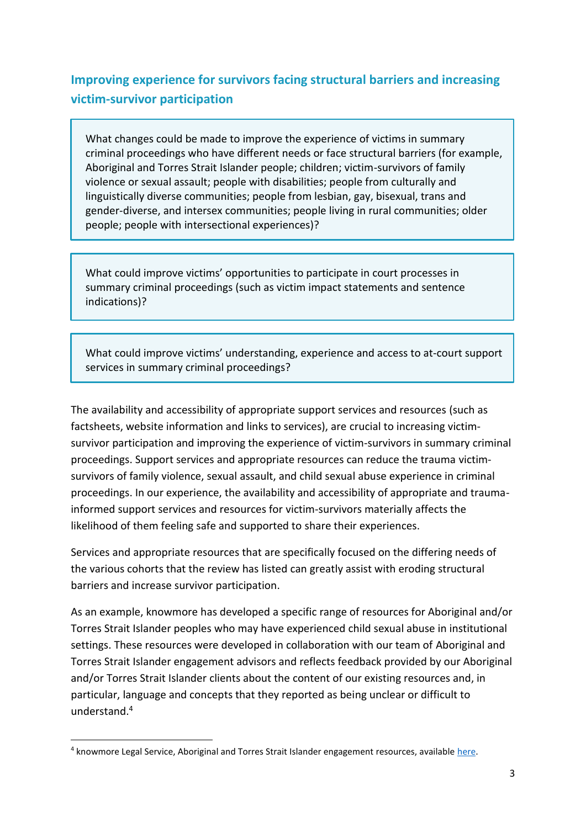## **Improving experience for survivors facing structural barriers and increasing victim-survivor participation**

What changes could be made to improve the experience of victims in summary criminal proceedings who have different needs or face structural barriers (for example, Aboriginal and Torres Strait Islander people; children; victim-survivors of family violence or sexual assault; people with disabilities; people from culturally and linguistically diverse communities; people from lesbian, gay, bisexual, trans and gender-diverse, and intersex communities; people living in rural communities; older people; people with intersectional experiences)?

What could improve victims' opportunities to participate in court processes in summary criminal proceedings (such as victim impact statements and sentence indications)?

What could improve victims' understanding, experience and access to at-court support services in summary criminal proceedings?

The availability and accessibility of appropriate support services and resources (such as factsheets, website information and links to services), are crucial to increasing victimsurvivor participation and improving the experience of victim-survivors in summary criminal proceedings. Support services and appropriate resources can reduce the trauma victimsurvivors of family violence, sexual assault, and child sexual abuse experience in criminal proceedings. In our experience, the availability and accessibility of appropriate and traumainformed support services and resources for victim-survivors materially affects the likelihood of them feeling safe and supported to share their experiences.

Services and appropriate resources that are specifically focused on the differing needs of the various cohorts that the review has listed can greatly assist with eroding structural barriers and increase survivor participation.

As an example, knowmore has developed a specific range of resources for Aboriginal and/or Torres Strait Islander peoples who may have experienced child sexual abuse in institutional settings. These resources were developed in collaboration with our team of Aboriginal and Torres Strait Islander engagement advisors and reflects feedback provided by our Aboriginal and/or Torres Strait Islander clients about the content of our existing resources and, in particular, language and concepts that they reported as being unclear or difficult to understand.<sup>4</sup>

<sup>&</sup>lt;sup>4</sup> knowmore Legal Service, Aboriginal and Torres Strait Islander engagement resources, available [here.](https://knowmore.org.au/services/aboriginal-and-torres-strait-islander-engagement/)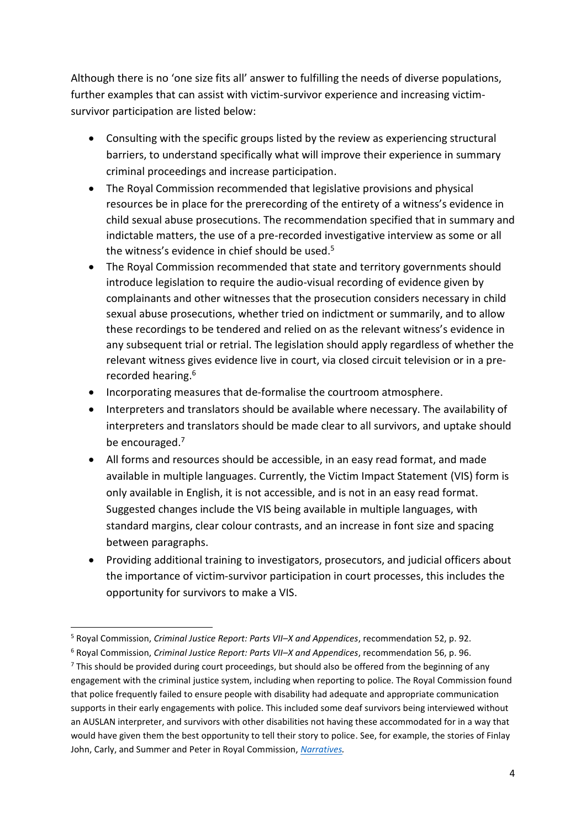Although there is no 'one size fits all' answer to fulfilling the needs of diverse populations, further examples that can assist with victim-survivor experience and increasing victimsurvivor participation are listed below:

- Consulting with the specific groups listed by the review as experiencing structural barriers, to understand specifically what will improve their experience in summary criminal proceedings and increase participation.
- The Royal Commission recommended that legislative provisions and physical resources be in place for the prerecording of the entirety of a witness's evidence in child sexual abuse prosecutions. The recommendation specified that in summary and indictable matters, the use of a pre-recorded investigative interview as some or all the witness's evidence in chief should be used. 5
- The Royal Commission recommended that state and territory governments should introduce legislation to require the audio-visual recording of evidence given by complainants and other witnesses that the prosecution considers necessary in child sexual abuse prosecutions, whether tried on indictment or summarily, and to allow these recordings to be tendered and relied on as the relevant witness's evidence in any subsequent trial or retrial. The legislation should apply regardless of whether the relevant witness gives evidence live in court, via closed circuit television or in a prerecorded hearing. 6
- Incorporating measures that de-formalise the courtroom atmosphere.
- Interpreters and translators should be available where necessary. The availability of interpreters and translators should be made clear to all survivors, and uptake should be encouraged. 7
- All forms and resources should be accessible, in an easy read format, and made available in multiple languages. Currently, the Victim Impact Statement (VIS) form is only available in English, it is not accessible, and is not in an easy read format. Suggested changes include the VIS being available in multiple languages, with standard margins, clear colour contrasts, and an increase in font size and spacing between paragraphs.
- Providing additional training to investigators, prosecutors, and judicial officers about the importance of victim-survivor participation in court processes, this includes the opportunity for survivors to make a VIS.

<sup>5</sup> Royal Commission, *Criminal Justice Report: Parts VII–X and Appendices*, recommendation 52, p. 92.

<sup>6</sup> Royal Commission, *Criminal Justice Report: Parts VII–X and Appendices*, recommendation 56, p. 96.

 $7$  This should be provided during court proceedings, but should also be offered from the beginning of any engagement with the criminal justice system, including when reporting to police. The Royal Commission found that police frequently failed to ensure people with disability had adequate and appropriate communication supports in their early engagements with police. This included some deaf survivors being interviewed without an AUSLAN interpreter, and survivors with other disabilities not having these accommodated for in a way that would have given them the best opportunity to tell their story to police. See, for example, the stories of Finlay John, Carly, and Summer and Peter in Royal Commission, *[Narratives.](http://www.childabuseroyalcommission.gov.au/narratives)*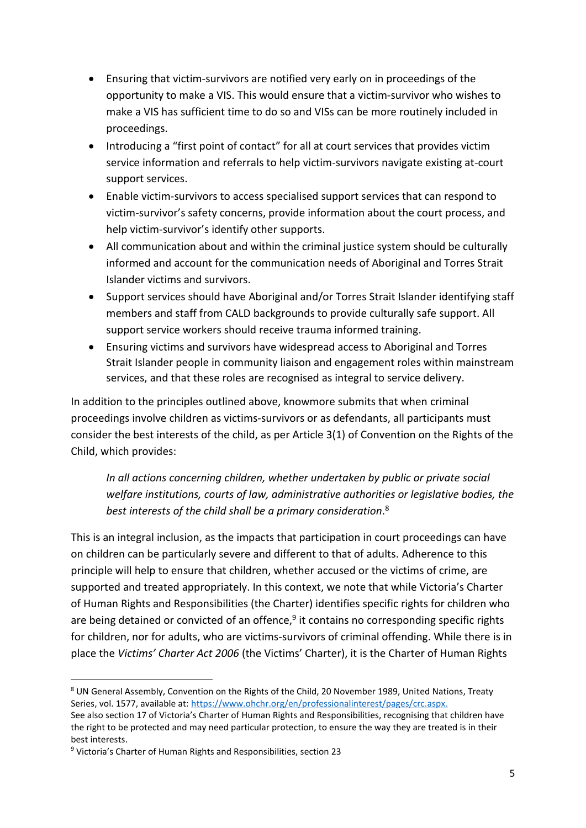- Ensuring that victim-survivors are notified very early on in proceedings of the opportunity to make a VIS. This would ensure that a victim-survivor who wishes to make a VIS has sufficient time to do so and VISs can be more routinely included in proceedings.
- Introducing a "first point of contact" for all at court services that provides victim service information and referrals to help victim-survivors navigate existing at-court support services.
- Enable victim-survivors to access specialised support services that can respond to victim-survivor's safety concerns, provide information about the court process, and help victim-survivor's identify other supports.
- All communication about and within the criminal justice system should be culturally informed and account for the communication needs of Aboriginal and Torres Strait Islander victims and survivors.
- Support services should have Aboriginal and/or Torres Strait Islander identifying staff members and staff from CALD backgrounds to provide culturally safe support. All support service workers should receive trauma informed training.
- Ensuring victims and survivors have widespread access to Aboriginal and Torres Strait Islander people in community liaison and engagement roles within mainstream services, and that these roles are recognised as integral to service delivery.

In addition to the principles outlined above, knowmore submits that when criminal proceedings involve children as victims-survivors or as defendants, all participants must consider the best interests of the child, as per Article 3(1) of Convention on the Rights of the Child, which provides:

*In all actions concerning children, whether undertaken by public or private social welfare institutions, courts of law, administrative authorities or legislative bodies, the best interests of the child shall be a primary consideration*. 8

This is an integral inclusion, as the impacts that participation in court proceedings can have on children can be particularly severe and different to that of adults. Adherence to this principle will help to ensure that children, whether accused or the victims of crime, are supported and treated appropriately. In this context, we note that while Victoria's Charter of Human Rights and Responsibilities (the Charter) identifies specific rights for children who are being detained or convicted of an offence,<sup>9</sup> it contains no corresponding specific rights for children, nor for adults, who are victims-survivors of criminal offending. While there is in place the *Victims' Charter Act 2006* (the Victims' Charter), it is the Charter of Human Rights

<sup>8</sup> UN General Assembly, Convention on the Rights of the Child, 20 November 1989, United Nations, Treaty Series, vol. 1577, available at: [https://www.ohchr.org/en/professionalinterest/pages/crc.aspx.](https://www.ohchr.org/en/professionalinterest/pages/crc.aspx)

See also section 17 of Victoria's Charter of Human Rights and Responsibilities, recognising that children have the right to be protected and may need particular protection, to ensure the way they are treated is in their best interests.

<sup>&</sup>lt;sup>9</sup> Victoria's Charter of Human Rights and Responsibilities, section 23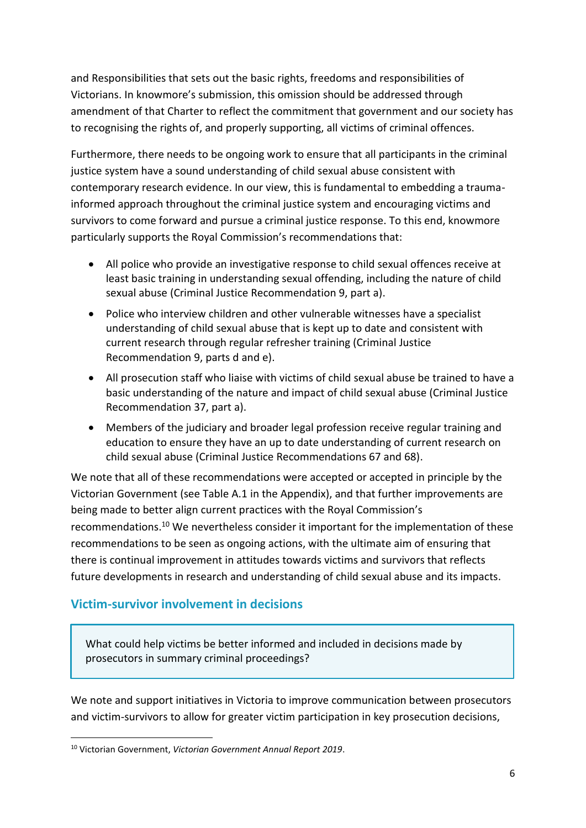and Responsibilities that sets out the basic rights, freedoms and responsibilities of Victorians. In knowmore's submission, this omission should be addressed through amendment of that Charter to reflect the commitment that government and our society has to recognising the rights of, and properly supporting, all victims of criminal offences.

Furthermore, there needs to be ongoing work to ensure that all participants in the criminal justice system have a sound understanding of child sexual abuse consistent with contemporary research evidence. In our view, this is fundamental to embedding a traumainformed approach throughout the criminal justice system and encouraging victims and survivors to come forward and pursue a criminal justice response. To this end, knowmore particularly supports the Royal Commission's recommendations that:

- All police who provide an investigative response to child sexual offences receive at least basic training in understanding sexual offending, including the nature of child sexual abuse (Criminal Justice Recommendation 9, part a).
- Police who interview children and other vulnerable witnesses have a specialist understanding of child sexual abuse that is kept up to date and consistent with current research through regular refresher training (Criminal Justice Recommendation 9, parts d and e).
- All prosecution staff who liaise with victims of child sexual abuse be trained to have a basic understanding of the nature and impact of child sexual abuse (Criminal Justice Recommendation 37, part a).
- Members of the judiciary and broader legal profession receive regular training and education to ensure they have an up to date understanding of current research on child sexual abuse (Criminal Justice Recommendations 67 and 68).

We note that all of these recommendations were accepted or accepted in principle by the Victorian Government (see Table A.1 in the Appendix), and that further improvements are being made to better align current practices with the Royal Commission's recommendations.<sup>10</sup> We nevertheless consider it important for the implementation of these recommendations to be seen as ongoing actions, with the ultimate aim of ensuring that there is continual improvement in attitudes towards victims and survivors that reflects future developments in research and understanding of child sexual abuse and its impacts.

## **Victim-survivor involvement in decisions**

What could help victims be better informed and included in decisions made by prosecutors in summary criminal proceedings?

We note and support initiatives in Victoria to improve communication between prosecutors and victim-survivors to allow for greater victim participation in key prosecution decisions,

<sup>10</sup> Victorian Government, *Victorian Government Annual Report 2019*.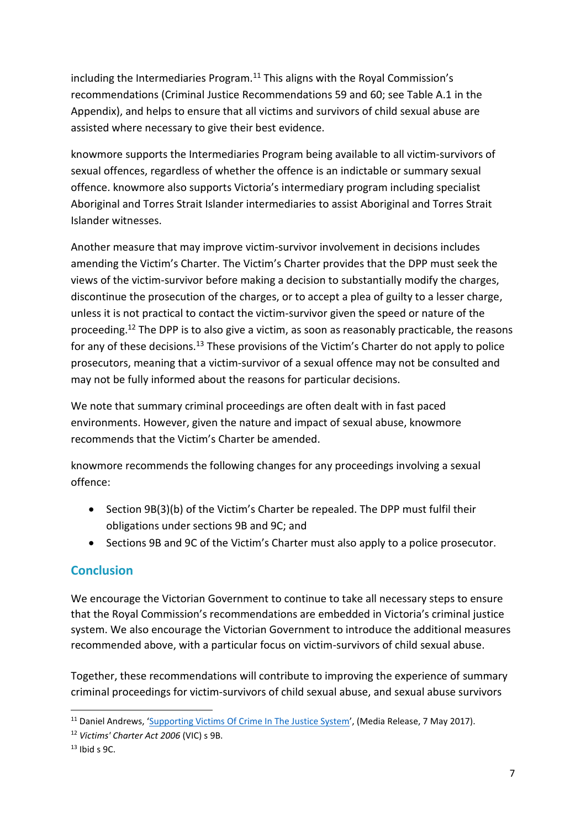including the Intermediaries Program.<sup>11</sup> This aligns with the Royal Commission's recommendations (Criminal Justice Recommendations 59 and 60; see Table A.1 in the Appendix), and helps to ensure that all victims and survivors of child sexual abuse are assisted where necessary to give their best evidence.

knowmore supports the Intermediaries Program being available to all victim-survivors of sexual offences, regardless of whether the offence is an indictable or summary sexual offence. knowmore also supports Victoria's intermediary program including specialist Aboriginal and Torres Strait Islander intermediaries to assist Aboriginal and Torres Strait Islander witnesses.

Another measure that may improve victim-survivor involvement in decisions includes amending the Victim's Charter. The Victim's Charter provides that the DPP must seek the views of the victim-survivor before making a decision to substantially modify the charges, discontinue the prosecution of the charges, or to accept a plea of guilty to a lesser charge, unless it is not practical to contact the victim-survivor given the speed or nature of the proceeding.<sup>12</sup> The DPP is to also give a victim, as soon as reasonably practicable, the reasons for any of these decisions.<sup>13</sup> These provisions of the Victim's Charter do not apply to police prosecutors, meaning that a victim-survivor of a sexual offence may not be consulted and may not be fully informed about the reasons for particular decisions.

We note that summary criminal proceedings are often dealt with in fast paced environments. However, given the nature and impact of sexual abuse, knowmore recommends that the Victim's Charter be amended.

knowmore recommends the following changes for any proceedings involving a sexual offence:

- Section 9B(3)(b) of the Victim's Charter be repealed. The DPP must fulfil their obligations under sections 9B and 9C; and
- Sections 9B and 9C of the Victim's Charter must also apply to a police prosecutor.

#### **Conclusion**

We encourage the Victorian Government to continue to take all necessary steps to ensure that the Royal Commission's recommendations are embedded in Victoria's criminal justice system. We also encourage the Victorian Government to introduce the additional measures recommended above, with a particular focus on victim-survivors of child sexual abuse.

Together, these recommendations will contribute to improving the experience of summary criminal proceedings for victim-survivors of child sexual abuse, and sexual abuse survivors

<sup>&</sup>lt;sup>11</sup> Daniel Andrews, '[Supporting Victims Of Crime In The Justice System](https://www.premier.vic.gov.au/supporting-victims-crime-justice-system)', (Media Release, 7 May 2017).

<sup>12</sup> *Victims' Charter Act 2006* (VIC) s 9B.

 $13$  Ibid s 9C.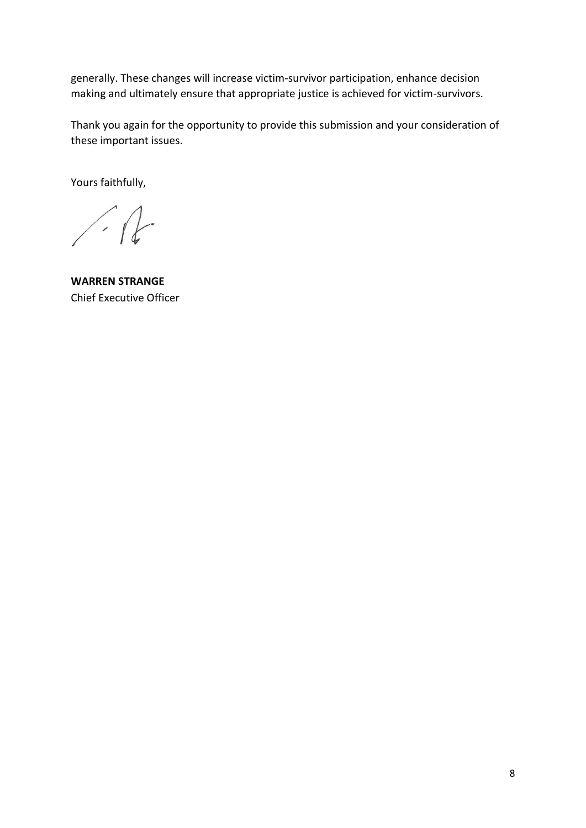generally. These changes will increase victim-survivor participation, enhance decision making and ultimately ensure that appropriate justice is achieved for victim-survivors.

Thank you again for the opportunity to provide this submission and your consideration of these important issues.

Yours faithfully,

 $\sqrt{1-x^2}$ 

**WARREN STRANGE** Chief Executive Officer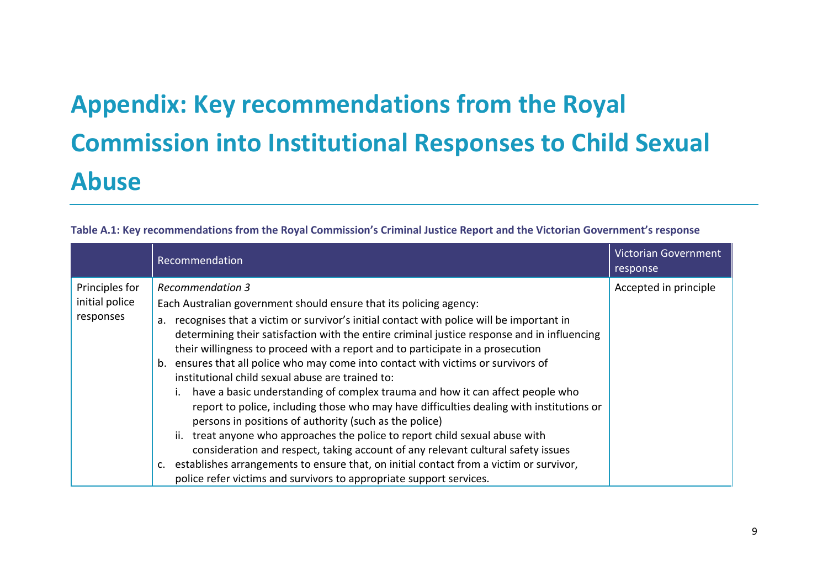# **Appendix: Key recommendations from the Royal Commission into Institutional Responses to Child Sexual Abuse**

| Table A.1: Key recommendations from the Royal Commission's Criminal Justice Report and the Victorian Government's response |  |  |  |
|----------------------------------------------------------------------------------------------------------------------------|--|--|--|
|----------------------------------------------------------------------------------------------------------------------------|--|--|--|

|                                               | Recommendation                                                                                                                                                                                                                                                                                                                                                                                                                                                                                                                                                                                                                                                                                                                                                                                                                                                                                                                                                                                                                                                                                          | <b>Victorian Government</b><br>response |
|-----------------------------------------------|---------------------------------------------------------------------------------------------------------------------------------------------------------------------------------------------------------------------------------------------------------------------------------------------------------------------------------------------------------------------------------------------------------------------------------------------------------------------------------------------------------------------------------------------------------------------------------------------------------------------------------------------------------------------------------------------------------------------------------------------------------------------------------------------------------------------------------------------------------------------------------------------------------------------------------------------------------------------------------------------------------------------------------------------------------------------------------------------------------|-----------------------------------------|
| Principles for<br>initial police<br>responses | <b>Recommendation 3</b><br>Each Australian government should ensure that its policing agency:<br>recognises that a victim or survivor's initial contact with police will be important in<br>a.<br>determining their satisfaction with the entire criminal justice response and in influencing<br>their willingness to proceed with a report and to participate in a prosecution<br>ensures that all police who may come into contact with victims or survivors of<br>b.<br>institutional child sexual abuse are trained to:<br>have a basic understanding of complex trauma and how it can affect people who<br>report to police, including those who may have difficulties dealing with institutions or<br>persons in positions of authority (such as the police)<br>ii. treat anyone who approaches the police to report child sexual abuse with<br>consideration and respect, taking account of any relevant cultural safety issues<br>establishes arrangements to ensure that, on initial contact from a victim or survivor,<br>police refer victims and survivors to appropriate support services. | Accepted in principle                   |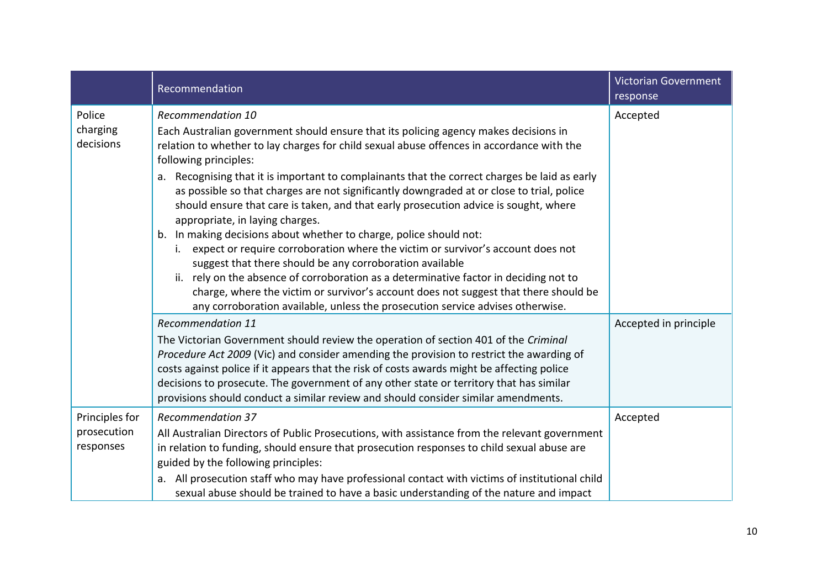|                                            | Recommendation                                                                                                                                                                                                                                                                                                                                                                                                                                                                                                                                                                                                                                                                                                                                                                                                                                                                                                                                                                                                                                             | <b>Victorian Government</b><br>response |
|--------------------------------------------|------------------------------------------------------------------------------------------------------------------------------------------------------------------------------------------------------------------------------------------------------------------------------------------------------------------------------------------------------------------------------------------------------------------------------------------------------------------------------------------------------------------------------------------------------------------------------------------------------------------------------------------------------------------------------------------------------------------------------------------------------------------------------------------------------------------------------------------------------------------------------------------------------------------------------------------------------------------------------------------------------------------------------------------------------------|-----------------------------------------|
| Police<br>charging<br>decisions            | <b>Recommendation 10</b><br>Each Australian government should ensure that its policing agency makes decisions in<br>relation to whether to lay charges for child sexual abuse offences in accordance with the<br>following principles:<br>Recognising that it is important to complainants that the correct charges be laid as early<br>a.<br>as possible so that charges are not significantly downgraded at or close to trial, police<br>should ensure that care is taken, and that early prosecution advice is sought, where<br>appropriate, in laying charges.<br>b. In making decisions about whether to charge, police should not:<br>expect or require corroboration where the victim or survivor's account does not<br>suggest that there should be any corroboration available<br>ii. rely on the absence of corroboration as a determinative factor in deciding not to<br>charge, where the victim or survivor's account does not suggest that there should be<br>any corroboration available, unless the prosecution service advises otherwise. | Accepted                                |
|                                            | <b>Recommendation 11</b><br>The Victorian Government should review the operation of section 401 of the Criminal<br>Procedure Act 2009 (Vic) and consider amending the provision to restrict the awarding of<br>costs against police if it appears that the risk of costs awards might be affecting police<br>decisions to prosecute. The government of any other state or territory that has similar<br>provisions should conduct a similar review and should consider similar amendments.                                                                                                                                                                                                                                                                                                                                                                                                                                                                                                                                                                 | Accepted in principle                   |
| Principles for<br>prosecution<br>responses | <b>Recommendation 37</b><br>All Australian Directors of Public Prosecutions, with assistance from the relevant government<br>in relation to funding, should ensure that prosecution responses to child sexual abuse are<br>guided by the following principles:<br>a. All prosecution staff who may have professional contact with victims of institutional child<br>sexual abuse should be trained to have a basic understanding of the nature and impact                                                                                                                                                                                                                                                                                                                                                                                                                                                                                                                                                                                                  | Accepted                                |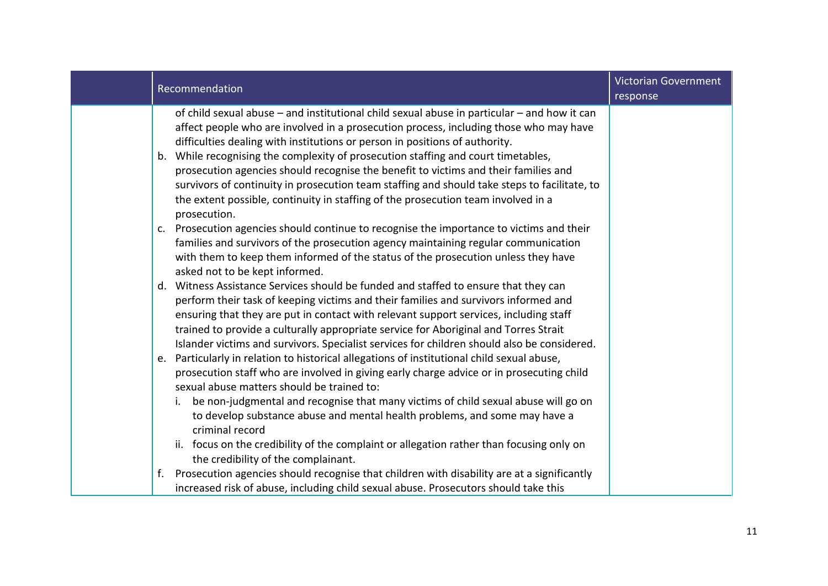| Recommendation                                                                                                                                                                                                                                                                                                                                                                                                                                                                                                                                                                                                                                       | <b>Victorian Government</b><br>response |
|------------------------------------------------------------------------------------------------------------------------------------------------------------------------------------------------------------------------------------------------------------------------------------------------------------------------------------------------------------------------------------------------------------------------------------------------------------------------------------------------------------------------------------------------------------------------------------------------------------------------------------------------------|-----------------------------------------|
| of child sexual abuse – and institutional child sexual abuse in particular – and how it can<br>affect people who are involved in a prosecution process, including those who may have<br>difficulties dealing with institutions or person in positions of authority.<br>b. While recognising the complexity of prosecution staffing and court timetables,<br>prosecution agencies should recognise the benefit to victims and their families and<br>survivors of continuity in prosecution team staffing and should take steps to facilitate, to<br>the extent possible, continuity in staffing of the prosecution team involved in a<br>prosecution. |                                         |
| c. Prosecution agencies should continue to recognise the importance to victims and their<br>families and survivors of the prosecution agency maintaining regular communication<br>with them to keep them informed of the status of the prosecution unless they have<br>asked not to be kept informed.                                                                                                                                                                                                                                                                                                                                                |                                         |
| d. Witness Assistance Services should be funded and staffed to ensure that they can<br>perform their task of keeping victims and their families and survivors informed and<br>ensuring that they are put in contact with relevant support services, including staff<br>trained to provide a culturally appropriate service for Aboriginal and Torres Strait<br>Islander victims and survivors. Specialist services for children should also be considered.                                                                                                                                                                                           |                                         |
| Particularly in relation to historical allegations of institutional child sexual abuse,<br>e.<br>prosecution staff who are involved in giving early charge advice or in prosecuting child<br>sexual abuse matters should be trained to:<br>be non-judgmental and recognise that many victims of child sexual abuse will go on<br>i.<br>to develop substance abuse and mental health problems, and some may have a<br>criminal record                                                                                                                                                                                                                 |                                         |
| ii. focus on the credibility of the complaint or allegation rather than focusing only on<br>the credibility of the complainant.                                                                                                                                                                                                                                                                                                                                                                                                                                                                                                                      |                                         |
| Prosecution agencies should recognise that children with disability are at a significantly<br>f.<br>increased risk of abuse, including child sexual abuse. Prosecutors should take this                                                                                                                                                                                                                                                                                                                                                                                                                                                              |                                         |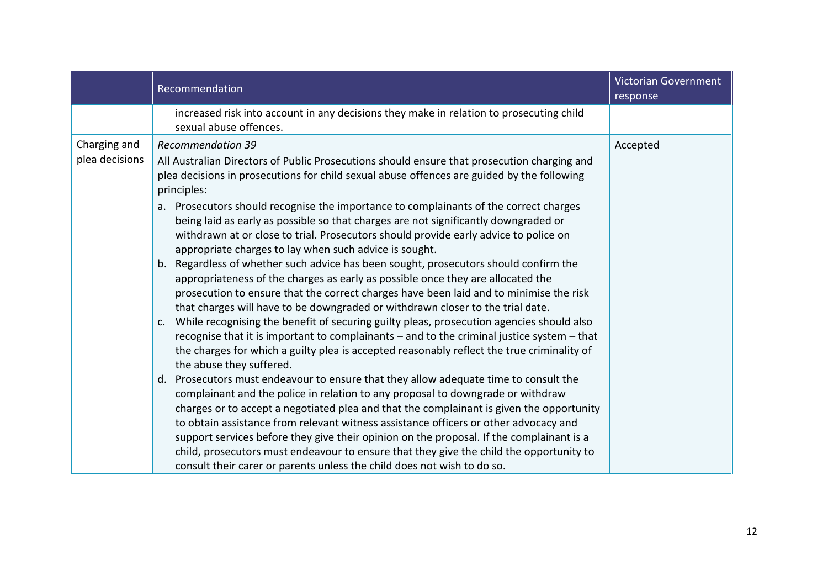|                | Recommendation                                                                                                                                                                                                                                                                                                                                                                                                                                                                                                                                                                                                                | <b>Victorian Government</b><br>response |
|----------------|-------------------------------------------------------------------------------------------------------------------------------------------------------------------------------------------------------------------------------------------------------------------------------------------------------------------------------------------------------------------------------------------------------------------------------------------------------------------------------------------------------------------------------------------------------------------------------------------------------------------------------|-----------------------------------------|
|                | increased risk into account in any decisions they make in relation to prosecuting child<br>sexual abuse offences.                                                                                                                                                                                                                                                                                                                                                                                                                                                                                                             |                                         |
| Charging and   | <b>Recommendation 39</b>                                                                                                                                                                                                                                                                                                                                                                                                                                                                                                                                                                                                      | Accepted                                |
| plea decisions | All Australian Directors of Public Prosecutions should ensure that prosecution charging and<br>plea decisions in prosecutions for child sexual abuse offences are guided by the following<br>principles:                                                                                                                                                                                                                                                                                                                                                                                                                      |                                         |
|                | Prosecutors should recognise the importance to complainants of the correct charges<br>а.<br>being laid as early as possible so that charges are not significantly downgraded or<br>withdrawn at or close to trial. Prosecutors should provide early advice to police on<br>appropriate charges to lay when such advice is sought.                                                                                                                                                                                                                                                                                             |                                         |
|                | b. Regardless of whether such advice has been sought, prosecutors should confirm the<br>appropriateness of the charges as early as possible once they are allocated the<br>prosecution to ensure that the correct charges have been laid and to minimise the risk<br>that charges will have to be downgraded or withdrawn closer to the trial date.                                                                                                                                                                                                                                                                           |                                         |
|                | c. While recognising the benefit of securing guilty pleas, prosecution agencies should also<br>recognise that it is important to complainants - and to the criminal justice system - that<br>the charges for which a guilty plea is accepted reasonably reflect the true criminality of<br>the abuse they suffered.                                                                                                                                                                                                                                                                                                           |                                         |
|                | d. Prosecutors must endeavour to ensure that they allow adequate time to consult the<br>complainant and the police in relation to any proposal to downgrade or withdraw<br>charges or to accept a negotiated plea and that the complainant is given the opportunity<br>to obtain assistance from relevant witness assistance officers or other advocacy and<br>support services before they give their opinion on the proposal. If the complainant is a<br>child, prosecutors must endeavour to ensure that they give the child the opportunity to<br>consult their carer or parents unless the child does not wish to do so. |                                         |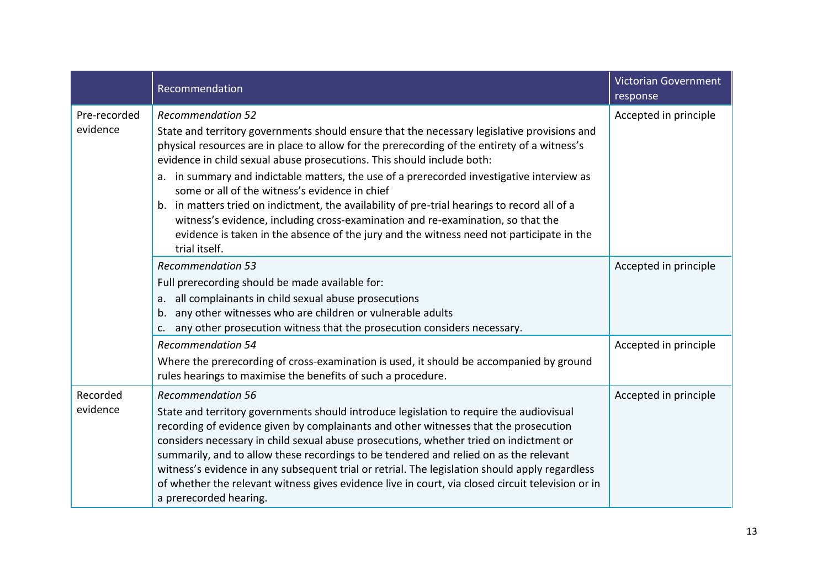|                          | Recommendation                                                                                                                                                                                                                                                                                                                                                                                                                                                                                                                                                                                                                                                                                                                                   | <b>Victorian Government</b><br>response |
|--------------------------|--------------------------------------------------------------------------------------------------------------------------------------------------------------------------------------------------------------------------------------------------------------------------------------------------------------------------------------------------------------------------------------------------------------------------------------------------------------------------------------------------------------------------------------------------------------------------------------------------------------------------------------------------------------------------------------------------------------------------------------------------|-----------------------------------------|
| Pre-recorded<br>evidence | <b>Recommendation 52</b><br>State and territory governments should ensure that the necessary legislative provisions and<br>physical resources are in place to allow for the prerecording of the entirety of a witness's<br>evidence in child sexual abuse prosecutions. This should include both:<br>a. in summary and indictable matters, the use of a prerecorded investigative interview as<br>some or all of the witness's evidence in chief<br>b. in matters tried on indictment, the availability of pre-trial hearings to record all of a<br>witness's evidence, including cross-examination and re-examination, so that the<br>evidence is taken in the absence of the jury and the witness need not participate in the<br>trial itself. | Accepted in principle                   |
|                          | <b>Recommendation 53</b><br>Full prerecording should be made available for:<br>all complainants in child sexual abuse prosecutions<br>а.<br>any other witnesses who are children or vulnerable adults<br>b.<br>any other prosecution witness that the prosecution considers necessary.<br>c.                                                                                                                                                                                                                                                                                                                                                                                                                                                     | Accepted in principle                   |
|                          | <b>Recommendation 54</b><br>Where the prerecording of cross-examination is used, it should be accompanied by ground<br>rules hearings to maximise the benefits of such a procedure.                                                                                                                                                                                                                                                                                                                                                                                                                                                                                                                                                              | Accepted in principle                   |
| Recorded<br>evidence     | <b>Recommendation 56</b><br>State and territory governments should introduce legislation to require the audiovisual<br>recording of evidence given by complainants and other witnesses that the prosecution<br>considers necessary in child sexual abuse prosecutions, whether tried on indictment or<br>summarily, and to allow these recordings to be tendered and relied on as the relevant<br>witness's evidence in any subsequent trial or retrial. The legislation should apply regardless<br>of whether the relevant witness gives evidence live in court, via closed circuit television or in<br>a prerecorded hearing.                                                                                                                  | Accepted in principle                   |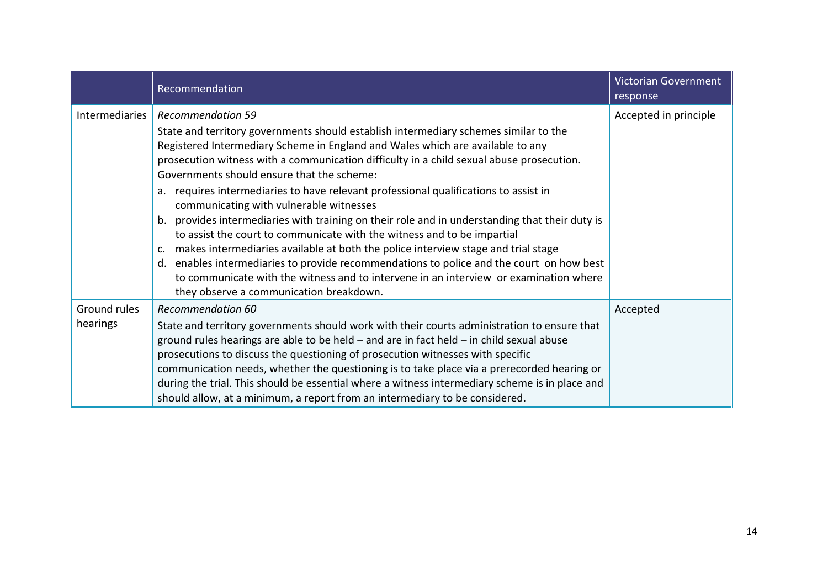|                       | Recommendation                                                                                                                                                                                                                                                                                                                                                                                                                                                                | Victorian Government<br>response |
|-----------------------|-------------------------------------------------------------------------------------------------------------------------------------------------------------------------------------------------------------------------------------------------------------------------------------------------------------------------------------------------------------------------------------------------------------------------------------------------------------------------------|----------------------------------|
| <b>Intermediaries</b> | <b>Recommendation 59</b><br>State and territory governments should establish intermediary schemes similar to the<br>Registered Intermediary Scheme in England and Wales which are available to any                                                                                                                                                                                                                                                                            | Accepted in principle            |
|                       | prosecution witness with a communication difficulty in a child sexual abuse prosecution.<br>Governments should ensure that the scheme:<br>a. requires intermediaries to have relevant professional qualifications to assist in                                                                                                                                                                                                                                                |                                  |
|                       | communicating with vulnerable witnesses<br>provides intermediaries with training on their role and in understanding that their duty is<br>b.                                                                                                                                                                                                                                                                                                                                  |                                  |
|                       | to assist the court to communicate with the witness and to be impartial<br>makes intermediaries available at both the police interview stage and trial stage<br>$\mathsf{C}$ .                                                                                                                                                                                                                                                                                                |                                  |
|                       | enables intermediaries to provide recommendations to police and the court on how best<br>d.<br>to communicate with the witness and to intervene in an interview or examination where<br>they observe a communication breakdown.                                                                                                                                                                                                                                               |                                  |
| Ground rules          | <b>Recommendation 60</b>                                                                                                                                                                                                                                                                                                                                                                                                                                                      | Accepted                         |
| hearings              | State and territory governments should work with their courts administration to ensure that<br>ground rules hearings are able to be held $-$ and are in fact held $-$ in child sexual abuse<br>prosecutions to discuss the questioning of prosecution witnesses with specific<br>communication needs, whether the questioning is to take place via a prerecorded hearing or<br>during the trial. This should be essential where a witness intermediary scheme is in place and |                                  |
|                       | should allow, at a minimum, a report from an intermediary to be considered.                                                                                                                                                                                                                                                                                                                                                                                                   |                                  |